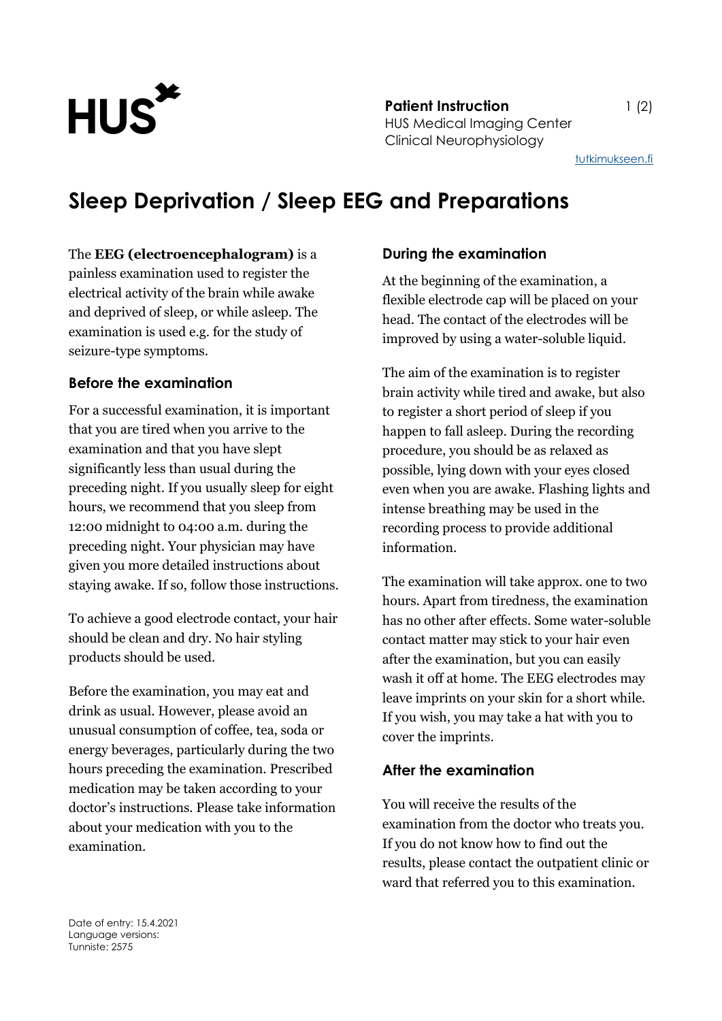

**Patient Instruction** 1 (2) HUS Medical Imaging Center Clinical Neurophysiology

[tutkimukseen.fi](http://www.tutkimukseen.fi/)

# **Sleep Deprivation / Sleep EEG and Preparations**

The **EEG (electroencephalogram)** is a painless examination used to register the electrical activity of the brain while awake and deprived of sleep, or while asleep. The examination is used e.g. for the study of seizure-type symptoms.

### **Before the examination**

For a successful examination, it is important that you are tired when you arrive to the examination and that you have slept significantly less than usual during the preceding night. If you usually sleep for eight hours, we recommend that you sleep from 12:00 midnight to 04:00 a.m. during the preceding night. Your physician may have given you more detailed instructions about staying awake. If so, follow those instructions.

To achieve a good electrode contact, your hair should be clean and dry. No hair styling products should be used.

Before the examination, you may eat and drink as usual. However, please avoid an unusual consumption of coffee, tea, soda or energy beverages, particularly during the two hours preceding the examination. Prescribed medication may be taken according to your doctor's instructions. Please take information about your medication with you to the examination.

#### **During the examination**

At the beginning of the examination, a flexible electrode cap will be placed on your head. The contact of the electrodes will be improved by using a water-soluble liquid.

The aim of the examination is to register brain activity while tired and awake, but also to register a short period of sleep if you happen to fall asleep. During the recording procedure, you should be as relaxed as possible, lying down with your eyes closed even when you are awake. Flashing lights and intense breathing may be used in the recording process to provide additional information.

The examination will take approx. one to two hours. Apart from tiredness, the examination has no other after effects. Some water-soluble contact matter may stick to your hair even after the examination, but you can easily wash it off at home. The EEG electrodes may leave imprints on your skin for a short while. If you wish, you may take a hat with you to cover the imprints.

#### **After the examination**

You will receive the results of the examination from the doctor who treats you. If you do not know how to find out the results, please contact the outpatient clinic or ward that referred you to this examination.

Date of entry: 15.4.2021 Language versions: Tunniste: 2575